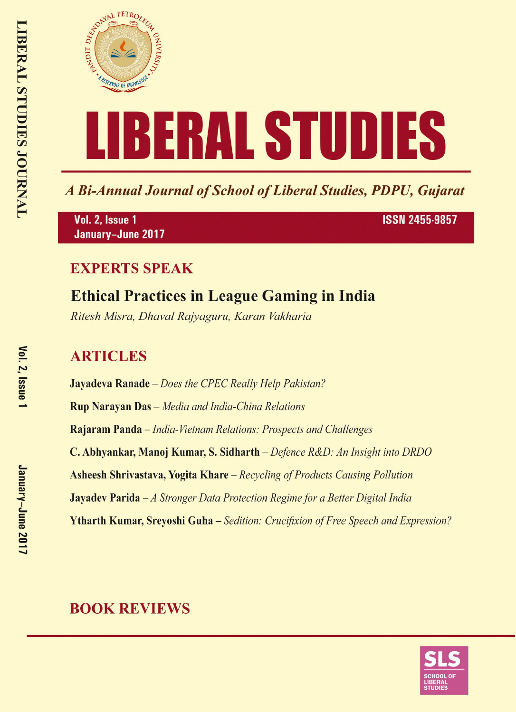

A Bi-Annual Journal of School of Liberal Studies, PDPU, Gujarat

Vol. 2, Issue 1 January-June 2017 **ISSN 2455-9857** 

### **EXPERTS SPEAK**

# **Ethical Practices in League Gaming in India**

Ritesh Misra, Dhaval Rajyaguru, Karan Vakharia

## **ARTICLES**

**Jayadeva Ranade** – Does the CPEC Really Help Pakistan? **Rup Narayan Das** - Media and India-China Relations Rajaram Panda – India-Vietnam Relations: Prospects and Challenges C. Abhyankar, Manoj Kumar, S. Sidharth – Defence R&D: An Insight into DRDO **Asheesh Shrivastava, Yogita Khare** – Recycling of Products Causing Pollution **Jayadev Parida**  $-A$  Stronger Data Protection Regime for a Better Digital India **Ytharth Kumar, Srevoshi Guha** – Sedition: Crucifixion of Free Speech and Expression?

## **BOOK REVIEWS**

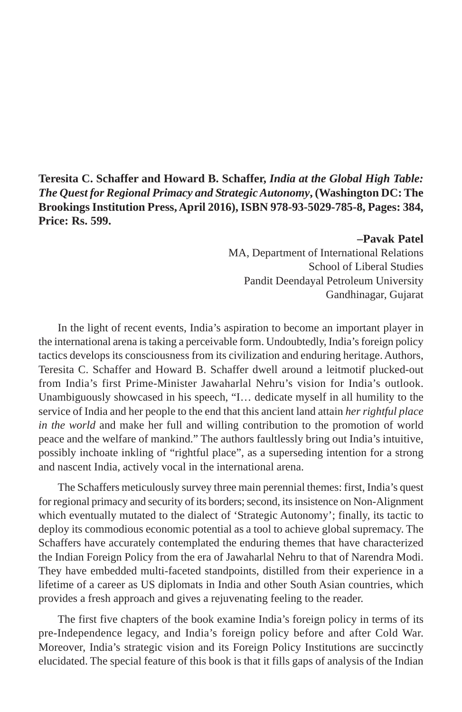**Teresita C. Schaffer and Howard B. Schaffer,** *India at the Global High Table: The Quest for Regional Primacy and Strategic Autonomy***, (Washington DC: The Brookings Institution Press, April 2016), ISBN 978-93-5029-785-8, Pages: 384, Price: Rs. 599.**

#### **–Pavak Patel**

MA, Department of International Relations School of Liberal Studies Pandit Deendayal Petroleum University Gandhinagar, Gujarat

In the light of recent events, India's aspiration to become an important player in the international arena is taking a perceivable form. Undoubtedly, India's foreign policy tactics develops its consciousness from its civilization and enduring heritage. Authors, Teresita C. Schaffer and Howard B. Schaffer dwell around a leitmotif plucked-out from India's first Prime-Minister Jawaharlal Nehru's vision for India's outlook. Unambiguously showcased in his speech, "I… dedicate myself in all humility to the service of India and her people to the end that this ancient land attain *her rightful place in the world* and make her full and willing contribution to the promotion of world peace and the welfare of mankind." The authors faultlessly bring out India's intuitive, possibly inchoate inkling of "rightful place", as a superseding intention for a strong and nascent India, actively vocal in the international arena.

The Schaffers meticulously survey three main perennial themes: first, India's quest for regional primacy and security of its borders; second, its insistence on Non-Alignment which eventually mutated to the dialect of 'Strategic Autonomy'; finally, its tactic to deploy its commodious economic potential as a tool to achieve global supremacy. The Schaffers have accurately contemplated the enduring themes that have characterized the Indian Foreign Policy from the era of Jawaharlal Nehru to that of Narendra Modi. They have embedded multi-faceted standpoints, distilled from their experience in a lifetime of a career as US diplomats in India and other South Asian countries, which provides a fresh approach and gives a rejuvenating feeling to the reader.

The first five chapters of the book examine India's foreign policy in terms of its pre-Independence legacy, and India's foreign policy before and after Cold War. Moreover, India's strategic vision and its Foreign Policy Institutions are succinctly elucidated. The special feature of this book is that it fills gaps of analysis of the Indian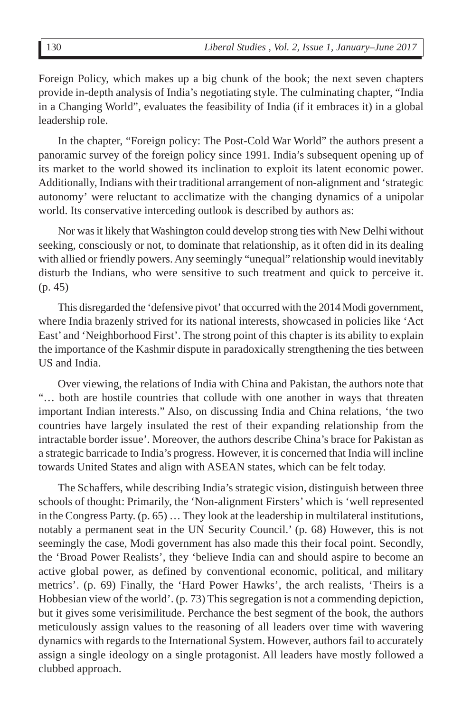Foreign Policy, which makes up a big chunk of the book; the next seven chapters provide in-depth analysis of India's negotiating style. The culminating chapter, "India in a Changing World", evaluates the feasibility of India (if it embraces it) in a global leadership role.

In the chapter, "Foreign policy: The Post-Cold War World" the authors present a panoramic survey of the foreign policy since 1991. India's subsequent opening up of its market to the world showed its inclination to exploit its latent economic power. Additionally, Indians with their traditional arrangement of non-alignment and 'strategic autonomy' were reluctant to acclimatize with the changing dynamics of a unipolar world. Its conservative interceding outlook is described by authors as:

Nor was it likely that Washington could develop strong ties with New Delhi without seeking, consciously or not, to dominate that relationship, as it often did in its dealing with allied or friendly powers. Any seemingly "unequal" relationship would inevitably disturb the Indians, who were sensitive to such treatment and quick to perceive it. (p. 45)

This disregarded the 'defensive pivot' that occurred with the 2014 Modi government, where India brazenly strived for its national interests, showcased in policies like 'Act East' and 'Neighborhood First'. The strong point of this chapter is its ability to explain the importance of the Kashmir dispute in paradoxically strengthening the ties between US and India.

Over viewing, the relations of India with China and Pakistan, the authors note that "… both are hostile countries that collude with one another in ways that threaten important Indian interests." Also, on discussing India and China relations, 'the two countries have largely insulated the rest of their expanding relationship from the intractable border issue'. Moreover, the authors describe China's brace for Pakistan as a strategic barricade to India's progress. However, it is concerned that India will incline towards United States and align with ASEAN states, which can be felt today.

The Schaffers, while describing India's strategic vision, distinguish between three schools of thought: Primarily, the 'Non-alignment Firsters' which is 'well represented in the Congress Party. (p. 65) … They look at the leadership in multilateral institutions, notably a permanent seat in the UN Security Council.' (p. 68) However, this is not seemingly the case, Modi government has also made this their focal point. Secondly, the 'Broad Power Realists', they 'believe India can and should aspire to become an active global power, as defined by conventional economic, political, and military metrics'. (p. 69) Finally, the 'Hard Power Hawks', the arch realists, 'Theirs is a Hobbesian view of the world'. (p. 73) This segregation is not a commending depiction, but it gives some verisimilitude. Perchance the best segment of the book, the authors meticulously assign values to the reasoning of all leaders over time with wavering dynamics with regards to the International System. However, authors fail to accurately assign a single ideology on a single protagonist. All leaders have mostly followed a clubbed approach.